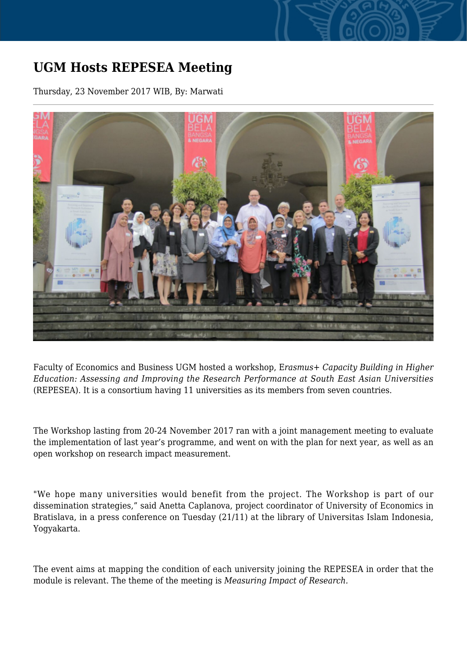## **UGM Hosts REPESEA Meeting**

Thursday, 23 November 2017 WIB, By: Marwati



Faculty of Economics and Business UGM hosted a workshop, E*rasmus+ Capacity Building in Higher Education: Assessing and Improving the Research Performance at South East Asian Universities* (REPESEA). It is a consortium having 11 universities as its members from seven countries.

The Workshop lasting from 20-24 November 2017 ran with a joint management meeting to evaluate the implementation of last year's programme, and went on with the plan for next year, as well as an open workshop on research impact measurement.

"We hope many universities would benefit from the project. The Workshop is part of our dissemination strategies," said Anetta Caplanova, project coordinator of University of Economics in Bratislava, in a press conference on Tuesday (21/11) at the library of Universitas Islam Indonesia, Yogyakarta.

The event aims at mapping the condition of each university joining the REPESEA in order that the module is relevant. The theme of the meeting is *Measuring Impact of Research.*